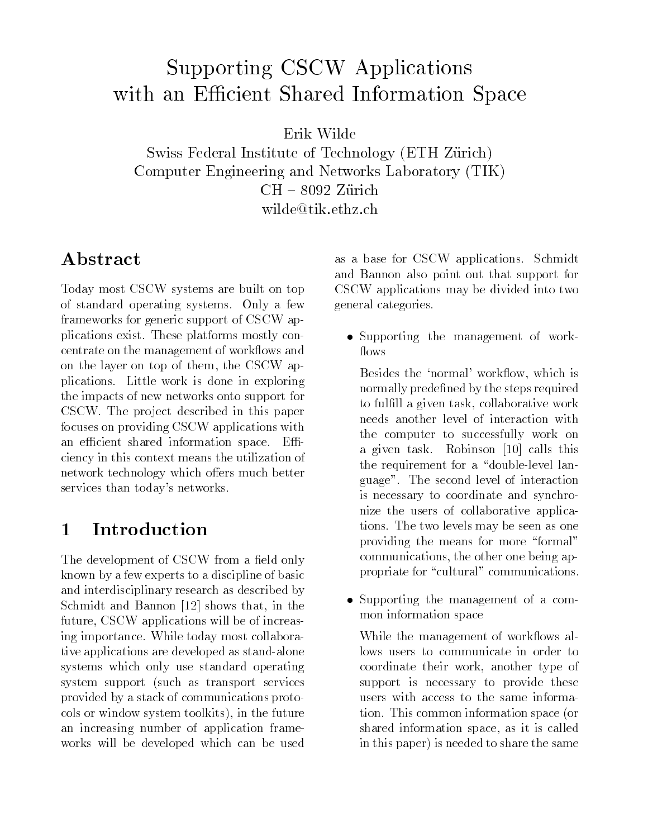# Supporting CSCW Applications with an Efficient Shared Information Space

Erik Wilde

Swiss Federal Institute of Technology (ETH Zürich) Computer Engineering and Networks Laboratory (TIK) $CH - 8092$  Zürich wilde@tik.ethz.ch wilde@tik.ethz.ch

Today most CSCW systems are built on top of standard operating systems. Only a few frameworks for generic support of CSCW applications exist. These platforms mostly concentrate on the management of workflows and on the layer on top of them, the CSCW applications. Little work is done in exploring the impacts of new networks onto support for CSCW. The project described in this paper focuses on providing CSCW applications with an efficient shared information space. Efficiency in this context means the utilization of network technology which offers much better services than today's networks.

### $\mathbf{1}$ **Introduction**

The development of CSCW from a field only known by a few experts to a discipline of basic and interdisciplinary research as described by Schmidt and Bannon [12] shows that, in the future, CSCW applications will be of increasing importance. While today most collaborative applications are developed as stand-alone systems which only use standard operating system support (such as transport services provided by a stack of communications protocols or window system toolkits), in the future an increasing number of application frameworks will be developed which can be used

as a base for CSCW applications. Schmidt and Bannon also point out that support for CSCW applications may be divided into two general categories.

 Supporting the management of work flows

Besides the 'normal' workflow, which is normally predefined by the steps required to fulfill a given task, collaborative work needs another level of interaction with the computer to successfully work on a given task. Robinson [10] calls this the requirement for a "double-level language". The second level of interaction is necessary to coordinate and synchronize the users of collaborative applications. The two levels may be seen as one providing the means for more "formal" communications, the other one being appropriate for "cultural" communications.

 Supporting the management of a common information space

While the management of workflows allows users to communicate in order to coordinate their work, another type of support is necessary to provide these users with access to the same information. This common information space (or shared information space, as it is called in this paper) is needed to share the same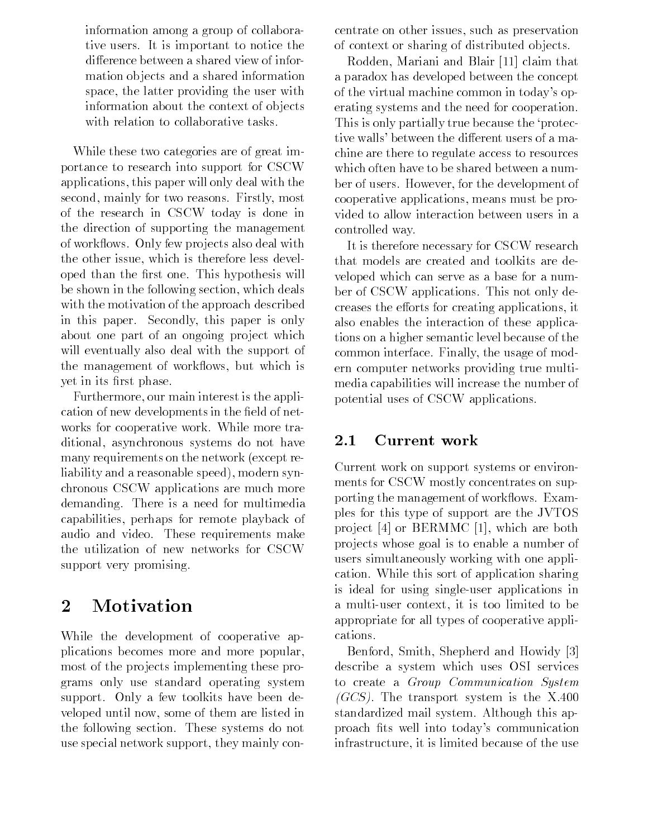information among a group of collaborative users. It is important to notice the difference between a shared view of information ob jects and a shared information space, the latter providing the user with information about the context of ob jects with relation to collaborative tasks.

While these two categories are of great importance to research into support for CSCW applications, this paper will only deal with the second, mainly for two reasons. Firstly, most of the research in CSCW today is done in the direction of supporting the management of workflows. Only few projects also deal with the other issue, which is therefore less developed than the first one. This hypothesis will be shown in the following section, which deals with the motivation of the approach described in this paper. Secondly, this paper is only about one part of an ongoing project which will eventually also deal with the support of the management of workflows, but which is yet in its first phase.

Furthermore, our main interest is the application of new developments in the field of networks for cooperative work. While more traditional, asynchronous systems do not have many requirements on the network (except reliability and a reasonable speed), modern synchronous CSCW applications are much more demanding. There is a need for multimedia capabilities, perhaps for remote playback of audio and video. These requirements make the utilization of new networks for CSCW support very promising.

# Motivation

While the development of cooperative applications becomes more and more popular, most of the projects implementing these programs only use standard operating system support. Only a few toolkits have been developed until now, some of them are listed in the following section. These systems do not use special network support, they mainly concentrate on other issues, such as preservation of context or sharing of distributed ob jects.

Rodden, Mariani and Blair [11] claim that a paradox has developed between the concept of the virtual machine common in today's operating systems and the need for cooperation. This is only partially true because the `protective walls' between the different users of a machine are there to regulate access to resources which often have to be shared between a number of users. However, for the development of cooperative applications, means must be provided to allow interaction between users in a controlled way.

It is therefore necessary for CSCW research that models are created and toolkits are developed which can serve as a base for a number of CSCW applications. This not only decreases the efforts for creating applications, it also enables the interaction of these applications on a higher semantic level because of the common interface. Finally, the usage of modern computer networks providing true multimedia capabilities will increase the number of potential uses of CSCW applications.

### 2.1 Current work

Current work on support systems or environments for CSCW mostly concentrates on supporting the management of workflows. Examples for this type of support are the JVTOS project  $[4]$  or BERMMC  $[1]$ , which are both pro jects whose goal is to enable a number of users simultaneously working with one application. While this sort of application sharing is ideal for using single-user applications in a multi-user context, it is too limited to be appropriate for all types of cooperative applications.

Benford, Smith, Shepherd and Howidy [3] describe a system which uses OSI services to create a Group Communication System  $(GCS)$ . The transport system is the X.400 standardized mail system. Although this approach fits well into today's communication infrastructure, it is limited because of the use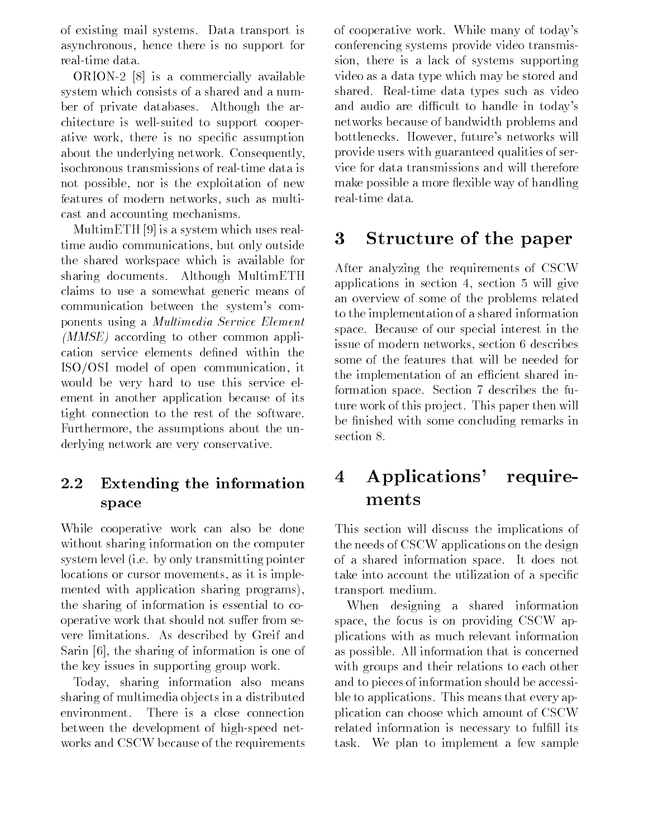of existing mail systems. Data transport is asynchronous, hence there is no support for real-time data.

ORION-2 [8] is a commercially available system which consists of a shared and a number of private databases. Although the architecture is well-suited to support cooperative work, there is no specic assumption about the underlying network. Consequently, isochronous transmissions of real-time data is not possible, nor is the exploitation of new features of modern networks, such as multicast and accounting mechanisms.

MultimETH [9] is a system which uses realtime audio communications, but only outside the shared workspace which is available for sharing documents. Although MultimETH claims to use a somewhat generic means of communication between the system's components using a Multimedia Service Element (MMSE) according to other common application service elements defined within the ISO/OSI model of open communication, it would be very hard to use this service element in another application because of its tight connection to the rest of the software. Furthermore, the assumptions about the underlying network are very conservative.

## 2.2 Extending the information space

While cooperative work can also be done without sharing information on the computer system level (i.e. by only transmitting pointer locations or cursor movements, as it is implemented with application sharing programs), the sharing of information is essential to cooperative work that should not suffer from severe limitations. As described by Greif and Sarin [6], the sharing of information is one of the key issues in supporting group work.

Today, sharing information also means sharing of multimedia ob jects in a distributed environment. There is a close connection between the development of high-speed networks and CSCW because of the requirements of cooperative work. While many of today's conferencing systems provide video transmission, there is a lack of systems supporting video as a data type which may be stored and shared. Real-time data types such as video and audio are difficult to handle in today's networks because of bandwidth problems and bottlenecks. However, future's networks will provide users with guaranteed qualities of service for data transmissions and will therefore make possible a more flexible way of handling real-time data.

# 3 Structure of the paper

After analyzing the requirements of CSCW applications in section 4, section 5 will give an overview of some of the problems related to the implementation of a shared information space. Because of our special interest in the issue of modern networks, section 6 describes some of the features that will be needed for the implementation of an efficient shared information space. Section 7 describes the future work of this project. This paper then will be finished with some concluding remarks in section 8.

# 4 Applications' requirements

This section will discuss the implications of the needs of CSCW applications on the design of a shared information space. It does not take into account the utilization of a specific transport medium.

When designing a shared information space, the focus is on providing CSCW applications with as much relevant information as possible. All information that is concerned with groups and their relations to each other and to pieces of information should be accessible to applications. This means that every application can choose which amount of CSCW related information is necessary to fulfill its task. We plan to implement a few sample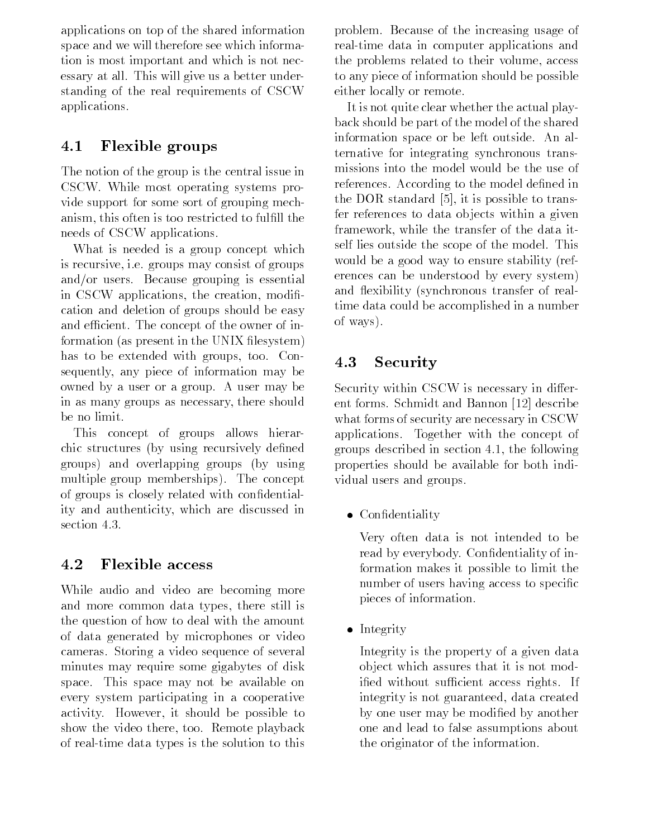applications on top of the shared information space and we will therefore see which information is most important and which is not necessary at all. This will give us a better understanding of the real requirements of CSCW applications.

# 4.1 Flexible groups

The notion of the group is the central issue in CSCW. While most operating systems provide support for some sort of grouping mechanism, this often is too restricted to fulfill the needs of CSCW applications.

What is needed is a group concept which is recursive, i.e. groups may consist of groups and/or users. Because grouping is essential in CSCW applications, the creation, modification and deletion of groups should be easy and efficient. The concept of the owner of information (as present in the UNIX filesystem) has to be extended with groups, too. Consequently, any piece of information may be owned by a user or a group. A user may be in as many groups as necessary, there should be no limit.

This concept of groups allows hierarchic structures (by using recursively defined groups) and overlapping groups (by using multiple group memberships). The concept of groups is closely related with condentiality and authenticity, which are discussed in section 4.3.

### 4.2 Flexible access

While audio and video are becoming more and more common data types, there still is the question of how to deal with the amount of data generated by microphones or video cameras. Storing a video sequence of several minutes may require some gigabytes of disk space. This space may not be available on every system participating in a cooperative activity. However, it should be possible to show the video there, too. Remote playback of real-time data types is the solution to this

problem. Because of the increasing usage of real-time data in computer applications and the problems related to their volume, access to any piece of information should be possible either locally or remote.

It is not quite clear whether the actual playback should be part of the model of the shared information space or be left outside. An alternative for integrating synchronous transmissions into the model would be the use of references. According to the model defined in the DOR standard [5], it is possible to transfer references to data ob jects within a given framework, while the transfer of the data itself lies outside the scope of the model. This would be a good way to ensure stability (references can be understood by every system) and flexibility (synchronous transfer of realtime data could be accomplished in a number of ways).

# 4.3 Security

Security within CSCW is necessary in different forms. Schmidt and Bannon [12] describe what forms of security are necessary in CSCW applications. Together with the concept of groups described in section 4.1, the following properties should be available for both individual users and groups.

Condentiality

Very often data is not intended to be read by everybody. Confidentiality of information makes it possible to limit the number of users having access to specific pieces of information.

Integrity of the second second second second second second second second second second second second second second second second second second second second second second second second second second second second second se

Integrity is the property of a given data ob ject which assures that it is not modified without sufficient access rights. If integrity is not guaranteed, data created by one user may be modified by another one and lead to false assumptions about the originator of the information.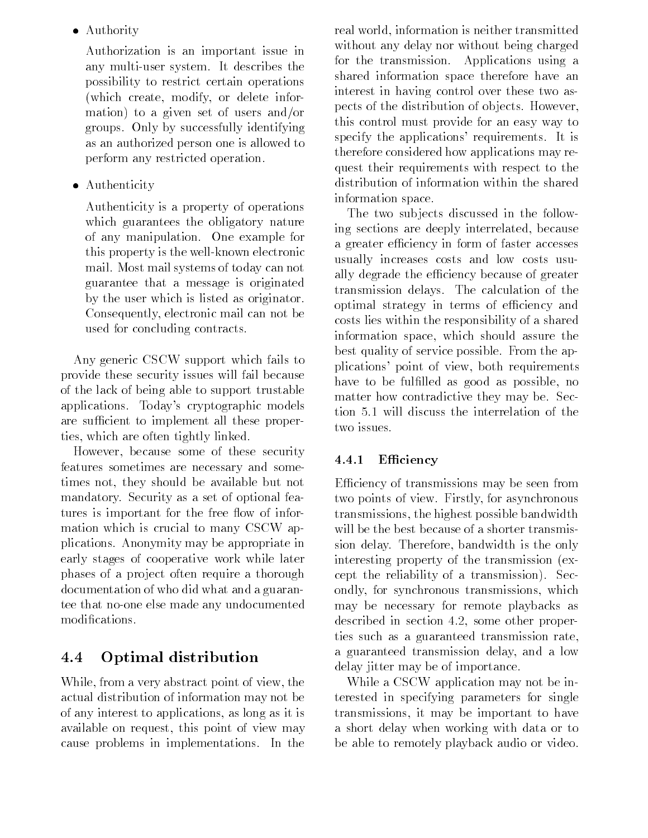Authority

Authorization is an important issue in any multi-user system. It describes the possibility to restrict certain operations (which create, modify, or delete information) to a given set of users and/or groups. Only by successfully identifying as an authorized person one is allowed to perform any restricted operation.

Authenticity

Authenticity is a property of operations which guarantees the obligatory nature of any manipulation. One example for this property is the well-known electronic mail. Most mail systems of today can not guarantee that a message is originated by the user which is listed as originator. Consequently, electronic mail can not be used for concluding contracts.

Any generic CSCW support which fails to provide these security issues will fail because of the lack of being able to support trustable applications. Today's cryptographic models are sufficient to implement all these properties, which are often tightly linked.

However, because some of these security features sometimes are necessary and sometimes not, they should be available but not mandatory. Security as a set of optional features is important for the free flow of information which is crucial to many CSCW applications. Anonymity may be appropriate in early stages of cooperative work while later phases of a project often require a thorough documentation of who did what and a guarantee that no-one else made any undocumented modifications.

# 4.4 Optimal distribution

While, from a very abstract point of view, the actual distribution of information may not be of any interest to applications, as long as it is available on request, this point of view may cause problems in implementations. In the real world, information is neither transmitted without any delay nor without being charged for the transmission. Applications using a shared information space therefore have an interest in having control over these two aspects of the distribution of ob jects. However, this control must provide for an easy way to specify the applications' requirements. It is therefore considered how applications may request their requirements with respect to the distribution of information within the shared information space.

The two sub jects discussed in the following sections are deeply interrelated, because a greater efficiency in form of faster accesses usually increases costs and low costs usually degrade the efficiency because of greater transmission delays. The calculation of the optimal strategy in terms of efficiency and costs lies within the responsibility of a shared information space, which should assure the best quality of service possible. From the applications' point of view, both requirements have to be fulfilled as good as possible, no matter how contradictive they may be. Section 5.1 will discuss the interrelation of the two issues.

### 4.4.1 Efficiency

Efficiency of transmissions may be seen from two points of view. Firstly, for asynchronous transmissions, the highest possible bandwidth will be the best because of a shorter transmission delay. Therefore, bandwidth is the only interesting property of the transmission (except the reliability of a transmission). Secondly, for synchronous transmissions, which may be necessary for remote playbacks as described in section 4.2, some other properties such as a guaranteed transmission rate, a guaranteed transmission delay, and a low delay jitter may be of importance.

While a CSCW application may not be interested in specifying parameters for single transmissions, it may be important to have a short delay when working with data or to be able to remotely playback audio or video.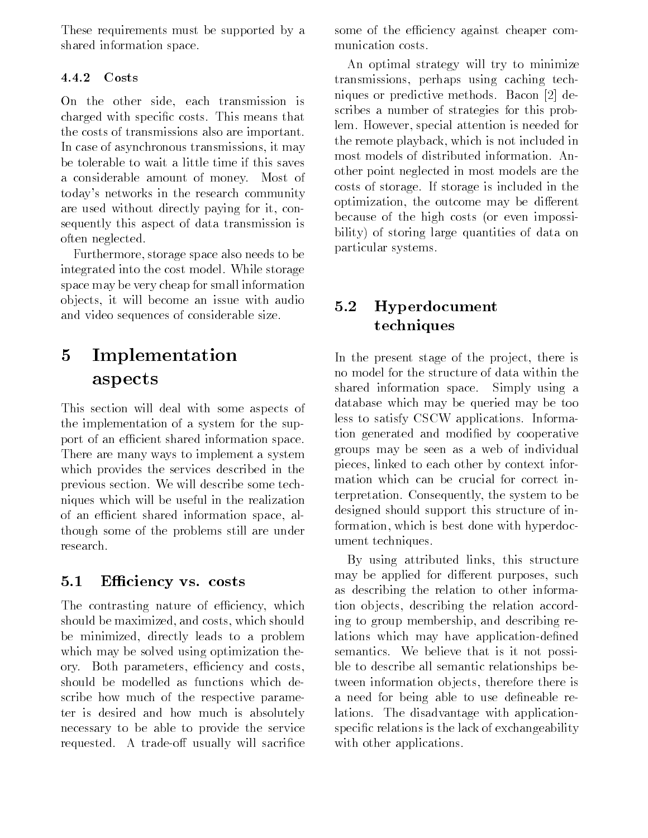These requirements must be supported by a shared information space.

#### 4.4.2 Costs

On the other side, each transmission is charged with specic costs. This means that the costs of transmissions also are important. In case of asynchronous transmissions, it may be tolerable to wait a little time if this saves a considerable amount of money. Most of today's networks in the research community are used without directly paying for it, consequently this aspect of data transmission is often neglected.

Furthermore, storage space also needs to be integrated into the cost model. While storage space may be very cheap for small information ob jects, it will become an issue with audio and video sequences of considerable size.

### $\overline{5}$ **Implementation** aspects

This section will deal with some aspects of the implementation of a system for the support of an efficient shared information space. There are many ways to implement a system which provides the services described in the previous section. We will describe some techniques which will be useful in the realization of an efficient shared information space, although some of the problems still are under research.

### 5.1 Efficiency vs. costs

The contrasting nature of efficiency, which should be maximized, and costs, which should be minimized, directly leads to a problem which may be solved using optimization theory. Both parameters, efficiency and costs, should be modelled as functions which describe how much of the respective parameter is desired and how much is absolutely necessary to be able to provide the service requested. A trade-off usually will sacrifice some of the efficiency against cheaper communication costs.

An optimal strategy will try to minimize transmissions, perhaps using caching techniques or predictive methods. Bacon [2] describes a number of strategies for this problem. However, special attention is needed for the remote playback, which is not included in most models of distributed information. Another point neglected in most models are the costs of storage. If storage is included in the optimization, the outcome may be different because of the high costs (or even impossibility) of storing large quantities of data on particular systems.

### 5.2 Hyperdocument techniques

In the present stage of the project, there is no model for the structure of data within the shared information space. Simply using a database which may be queried may be too less to satisfy CSCW applications. Information generated and modified by cooperative groups may be seen as a web of individual pieces, linked to each other by context information which can be crucial for correct interpretation. Consequently, the system to be designed should support this structure of information, which is best done with hyperdocument techniques.

By using attributed links, this structure may be applied for different purposes, such as describing the relation to other information ob jects, describing the relation according to group membership, and describing relations which may have application-defined semantics. We believe that is it not possible to describe all semantic relationships between information ob jects, therefore there is a need for being able to use defineable relations. The disadvantage with applicationspecific relations is the lack of exchangeability with other applications.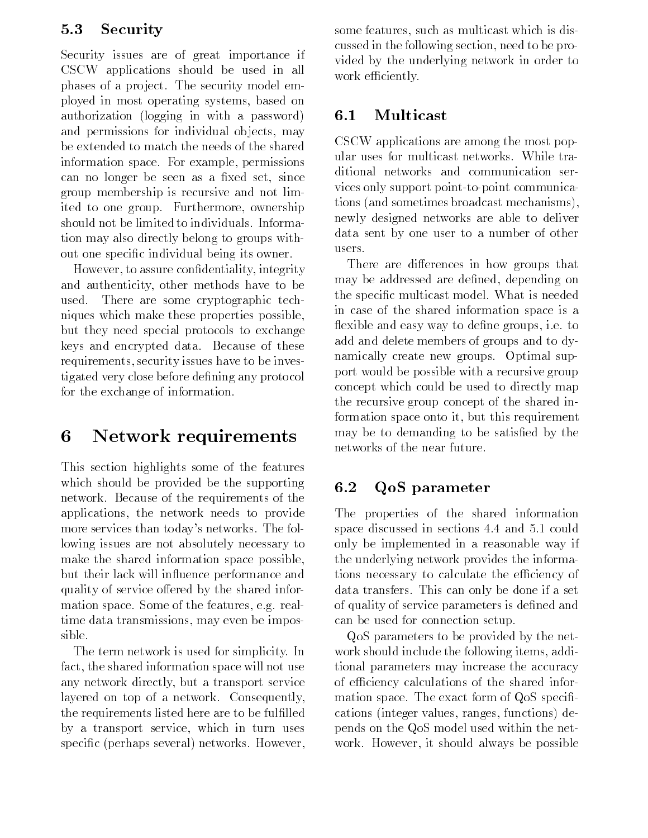### 5.3 Security

Security issues are of great importance if CSCW applications should be used in all phases of a project. The security model employed in most operating systems, based on authorization (logging in with a password) and permissions for individual objects, may be extended to match the needs of the shared information space. For example, permissions can no longer be seen as a fixed set, since group membership is recursive and not limited to one group. Furthermore, ownership should not be limited to individuals. Information may also directly belong to groups without one specic individual being its owner.

However, to assure condentiality, integrity and authenticity, other methods have to be used. There are some cryptographic techniques which make these properties possible, but they need special protocols to exchange keys and encrypted data. Because of these requirements, security issues have to be investigated very close before dening any protocol for the exchange of information.

#### 6 Network requirements

This section highlights some of the features which should be provided be the supporting network. Because of the requirements of the applications, the network needs to provide more services than today's networks. The following issues are not absolutely necessary to make the shared information space possible, but their lack will in
uence performance and quality of service offered by the shared information space. Some of the features, e.g. realtime data transmissions, may even be impos-

The term network is used for simplicity. In fact, the shared information space will not use any network directly, but a transport service layered on top of a network. Consequently, the requirements listed here are to be fulfilled by a transport service, which in turn uses specic (perhaps several) networks. However,

some features, such as multicast which is discussed in the following section, need to be provided by the underlying network in order to work efficiently.

### 6.1 Multicast

CSCW applications are among the most popular uses for multicast networks. While traditional networks and communication services only support point-to-point communications (and sometimes broadcast mechanisms), newly designed networks are able to deliver data sent by one user to a number of other

There are differences in how groups that may be addressed are defined, depending on the specic multicast model. What is needed in case of the shared information space is a flexible and easy way to define groups, i.e. to add and delete members of groups and to dynamically create new groups. Optimal support would be possible with a recursive group concept which could be used to directly map the recursive group concept of the shared information space onto it, but this requirement may be to demanding to be satisfied by the networks of the near future.

## 6.2 QoS parameter

The properties of the shared information space discussed in sections 4.4 and 5.1 could only be implemented in a reasonable way if the underlying network provides the informations necessary to calculate the efficiency of data transfers. This can only be done if a set of quality of service parameters is dened and can be used for connection setup.

QoS parameters to be provided by the network should include the following items, additional parameters may increase the accuracy of efficiency calculations of the shared information space. The exact form of  $QoS$  specifications (integer values, ranges, functions) depends on the QoS model used within the network. However, it should always be possible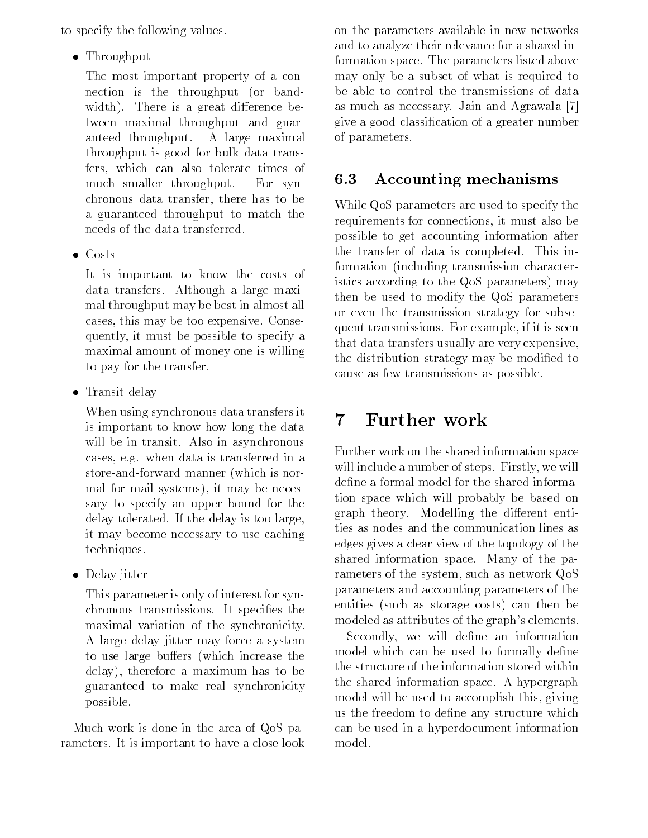to specify the following values.

 $T = T \cdot T$ 

The most important property of a connection is the throughput (or bandwidth). There is a great difference between maximal throughput and guaranteed throughput. A large maximal throughput is good for bulk data transfers, which can also tolerate times of much smaller throughput. For synchronous data transfer, there has to be a guaranteed throughput to match the needs of the data transferred.

Costs and the costs of the costs of the costs of the costs of the costs of the costs of the costs of the costs of the costs of the costs of the costs of the costs of the costs of the costs of the costs of the costs of the

It is important to know the costs of data transfers. Although a large maximal throughput may be best in almost all cases, this may be too expensive. Consequently, it must be possible to specify a maximal amount of money one is willing to pay for the transfer.

Transit della contratto di un constituzione di un constituzione di un constituzione di un constituzione di un

When using synchronous data transfers it is important to know how long the data will be in transit. Also in asynchronous cases, e.g. when data is transferred in a store-and-forward manner (which is normal for mail systems), it may be necessary to specify an upper bound for the delay tolerated. If the delay is too large, it may become necessary to use caching techniques.

Delay jitter

This parameter is only of interest for synchronous transmissions. It specifies the maximal variation of the synchronicity. A large delay jitter may force a system to use large buffers (which increase the delay), therefore a maximum has to be guaranteed to make real synchronicity possible.

Much work is done in the area of QoS parameters. It is important to have a close look on the parameters available in new networks and to analyze their relevance for a shared information space. The parameters listed above may only be a subset of what is required to be able to control the transmissions of data as much as necessary. Jain and Agrawala [7] give a good classication of a greater number of parameters.

# 6.3 Accounting mechanisms

While QoS parameters are used to specify the requirements for connections, it must also be possible to get accounting information after the transfer of data is completed. This information (including transmission characteristics according to the QoS parameters) may then be used to modify the QoS parameters or even the transmission strategy for subsequent transmissions. For example, if it is seen that data transfers usually are very expensive, the distribution strategy may be modified to cause as few transmissions as possible.

# $\overline{7}$

Further work on the shared information space will include a number of steps. Firstly, we will define a formal model for the shared information space which will probably be based on graph theory. Modelling the different entities as nodes and the communication lines as edges gives a clear view of the topology of the shared information space. Many of the parameters of the system, such as network QoS parameters and accounting parameters of the entities (such as storage costs) can then be modeled as attributes of the graph's elements.

Secondly, we will define an information model which can be used to formally define the structure of the information stored within the shared information space. A hypergraph model will be used to accomplish this, giving us the freedom to define any structure which can be used in a hyperdocument information model.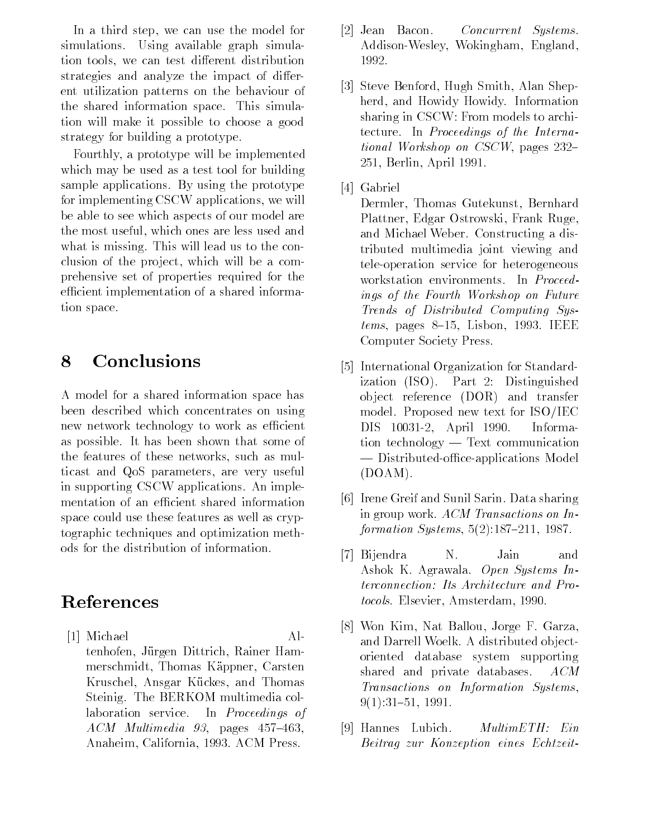In a third step, we can use the model for simulations. Using available graph simulation tools, we can test different distribution strategies and analyze the impact of different utilization patterns on the behaviour of the shared information space. This simulation will make it possible to choose a good strategy for building a prototype.

Fourthly, a prototype will be implemented which may be used as a test tool for building sample applications. By using the prototype for implementing CSCW applications, we will be able to see which aspects of our model are the most useful, which ones are less used and what is missing. This will lead us to the conclusion of the pro ject, which will be a comprehensive set of properties required for the efficient implementation of a shared information space.

# 8 Conclusions

A model for a shared information space has been described which concentrates on using new network technology to work as efficient as possible. It has been shown that some of the features of these networks, such as multicast and QoS parameters, are very useful in supporting CSCW applications. An implementation of an efficient shared information space could use these features as well as cryptographic techniques and optimization methods for the distribution of information.

# References

[1] Michael Altenhofen, Jürgen Dittrich, Rainer Hammerschmidt, Thomas Kappner, Carsten Kruschel, Ansgar Kückes, and Thomas Steinig. The BERKOM multimedia collaboration service. In Proceedings of  $ACM$  *Multimedia 93*, pages 457-463, Anaheim, California, 1993. ACM Press.

- [2] Jean Bacon. Concurrent Systems. Addison-Wesley, Wokingham, England, 1992.
- [3] Steve Benford, Hugh Smith, Alan Shepherd, and Howidy Howidy. Information sharing in CSCW: From models to architecture. In Proceedings of the International Workshop on  $CSCW$ , pages  $232-$ 251, Berlin, April 1991.
- [4] Gabriel

Dermler, Thomas Gutekunst, Bernhard Plattner, Edgar Ostrowski, Frank Ruge, and Michael Weber. Constructing a distributed multimedia joint viewing and tele-operation service for heterogeneous workstation environments. In Proceedings of the Fourth Workshop on Future Trends of Distributed Computing Sys $tems$ , pages 8-15, Lisbon, 1993. IEEE Computer Society Press.

- [5] International Organization for Standardization (ISO). Part 2: Distinguished ob ject reference (DOR) and transfer model. Proposed new text for ISO/IEC DIS 10031-2, April 1990. Information technology  $-$  Text communication - Distributed-office-applications Model (DOAM).
- [6] Irene Greif and Sunil Sarin. Data sharing in group work. ACM Transactions on Information Systems,  $5(2):187{-}211$ , 1987.
- |7| Bijendra Ν. Jain and Ashok K. Agrawala. Open Systems Interconnection: Its Architecture and Protocols. Elsevier, Amsterdam, 1990.
- [8] Won Kim, Nat Ballou, Jorge F. Garza, and Darrell Woelk. A distributed ob jectoriented database system supporting shared and private databases. ACM Transactions on Information Systems,  $9(1):31{-}51, 1991.$
- [9] Hannes Lubich. MultimETH: Ein Beitrag zur Konzeption eines Echtzeit-